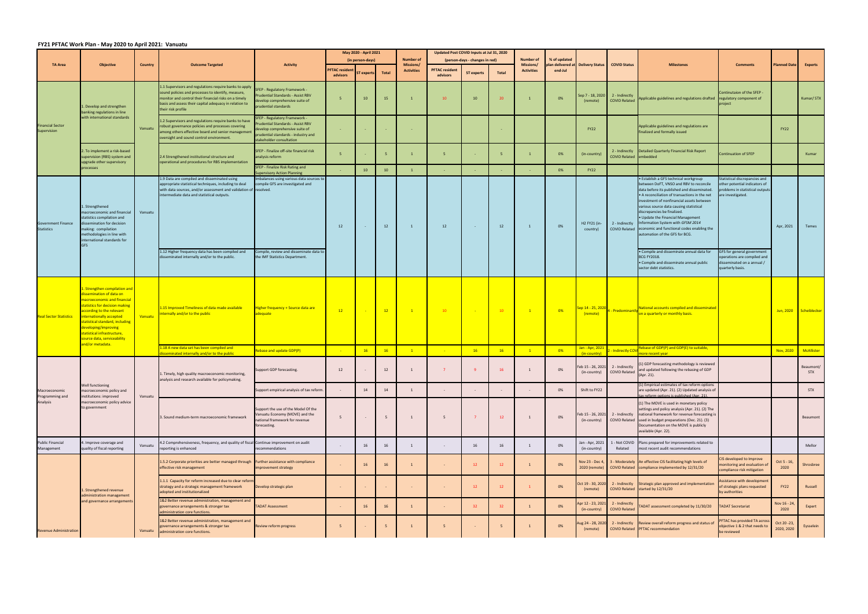## **FY21 PFTAC Work Plan ‐ May 2020 to April 2021: Vanuatu**

|                                                |                                                                                                                                                                                                                                                                                                                            |                |                                                                                                                                                                                                                                                       | <b>Activity</b>                                                                                                                                                        | May 2020 - April 2021            |           |              |                                      | Updated Post COVID Inputs at Jul 31, 2020 |                                |                 |                                       |              |                                               |                                                                |                                                                                                                                                                                                                                                                                                                                                                                                                                                                                                |                                                                                                                        |                            |                         |
|------------------------------------------------|----------------------------------------------------------------------------------------------------------------------------------------------------------------------------------------------------------------------------------------------------------------------------------------------------------------------------|----------------|-------------------------------------------------------------------------------------------------------------------------------------------------------------------------------------------------------------------------------------------------------|------------------------------------------------------------------------------------------------------------------------------------------------------------------------|----------------------------------|-----------|--------------|--------------------------------------|-------------------------------------------|--------------------------------|-----------------|---------------------------------------|--------------|-----------------------------------------------|----------------------------------------------------------------|------------------------------------------------------------------------------------------------------------------------------------------------------------------------------------------------------------------------------------------------------------------------------------------------------------------------------------------------------------------------------------------------------------------------------------------------------------------------------------------------|------------------------------------------------------------------------------------------------------------------------|----------------------------|-------------------------|
|                                                |                                                                                                                                                                                                                                                                                                                            |                |                                                                                                                                                                                                                                                       |                                                                                                                                                                        | (in person-days)                 |           |              | <b>Number of</b>                     |                                           | (person-days - changes in red) |                 | <b>Number of</b>                      | % of updated |                                               |                                                                |                                                                                                                                                                                                                                                                                                                                                                                                                                                                                                |                                                                                                                        |                            |                         |
| <b>TA Area</b>                                 | <b>Objective</b>                                                                                                                                                                                                                                                                                                           | <b>Country</b> | <b>Outcome Targeted</b>                                                                                                                                                                                                                               |                                                                                                                                                                        | <b>PFTAC</b> residen<br>advisors | T experts | <b>Total</b> | <b>Missions</b><br><b>Activities</b> | <b>PFTAC resident</b><br>advisors         | <b>ST experts</b>              | Total           | <b>Missions/</b><br><b>Activities</b> | end-Jul      | plan delivered at Delivery Status             | <b>COVID Status</b>                                            | <b>Milestones</b>                                                                                                                                                                                                                                                                                                                                                                                                                                                                              | <b>Comments</b>                                                                                                        | <b>Planned Date</b>        | <b>Experts</b>          |
| <b>Financial Sector</b><br>Supervision         | . Develop and strengthen<br>banking regulations in line<br>with international standards                                                                                                                                                                                                                                    |                | 1.1 Supervisors and regulations require banks to apply<br>sound policies and processes to identify, measure,<br>monitor and control their financial risks on a timely<br>basis and assess their capital adequacy in relation to<br>their risk profile | SFEP - Regulatory Framework -<br>rudential Standards - Assist RBV<br>levelop comprehensive suite of<br>prudential standards                                            |                                  | 10        | 15           | $\mathbf{1}$                         | 10                                        | 10                             | 20              |                                       | 0%           | Gep 7 - 18, 2020<br>(remote)                  | 2 - Indirectly<br><b>COVID Related</b>                         | Applicable guidelines and regulations drafted regulatory component of                                                                                                                                                                                                                                                                                                                                                                                                                          | Continutaion of the SFEP -                                                                                             |                            | Kumar/STX               |
|                                                |                                                                                                                                                                                                                                                                                                                            | Vanuatu        | 1.2 Supervisors and regulations require banks to have<br>robust governance policies and processes covering<br>among others effective board and senior management<br>oversight and sound control environment.                                          | SFEP - Regulatory Framework -<br>rudential Standards - Assist RBV<br>develop comprehensive suite of<br>prudential standards - industry and<br>stakeholder consultation |                                  |           |              |                                      |                                           |                                |                 |                                       |              | <b>FY22</b>                                   |                                                                | Applicable guidelines and regulations are<br>finalized and formally issued                                                                                                                                                                                                                                                                                                                                                                                                                     |                                                                                                                        | <b>FY22</b>                |                         |
|                                                | 2. To implement a risk-based<br>supervision (RBS) system and<br>upgrade other supervisory                                                                                                                                                                                                                                  |                | 2.4 Strengthened institutional structure and<br>operational and procedures for RBS implementation                                                                                                                                                     | SFEP - Finalize off-site financial risk<br>analysis reform                                                                                                             |                                  |           | 5            |                                      | -5                                        |                                | 5 <sub>1</sub>  |                                       | 0%           | (in-country)                                  | COVID Related embedded                                         | 2 - Indirectly Detailed Quarterly Financial Risk Report                                                                                                                                                                                                                                                                                                                                                                                                                                        | Continuation of SFEP                                                                                                   |                            | Kumar                   |
|                                                | processes                                                                                                                                                                                                                                                                                                                  |                |                                                                                                                                                                                                                                                       | SFEP - Finalize Risk Rating and<br>upervisory Action Planning                                                                                                          |                                  | 10        | 10           |                                      |                                           |                                |                 |                                       | 0%           | <b>FY22</b>                                   |                                                                |                                                                                                                                                                                                                                                                                                                                                                                                                                                                                                |                                                                                                                        |                            |                         |
| <b>Government Finance</b><br><b>Statistics</b> | L. Strengthened<br>macroeconomic and financial<br>statistics compilation and<br>lissemination for decision<br>making: compilation<br>methodologies in line with<br>international standards for<br>GFS                                                                                                                      | Vanuatu        | 1.9 Data are compiled and disseminated using<br>appropriate statistical techniques, including to deal<br>with data sources, and/or assessment and validation of resolved.<br>intermediate data and statistical outputs.                               | mbalances using various data sources to<br>compile GFS are investigated and                                                                                            | 12                               |           | 12           | $\mathbf{1}$                         | 12                                        | $\sim$ $-$                     | 12              | $\mathbf{1}$                          | 0%           | H2 FY21 (in-<br>country)                      |                                                                | • Establish a GFS technical workgroup<br>between DoFT, VNSO and RBV to reconcile<br>data before its published and disseminated.<br>• A reconciliation of transactions in the net<br>investment of nonfinancial assets between<br>various source data causing statistical<br>discrepancies be finalized.<br>. Update the Financial Management<br>2 - Indirectly Information System with GFSM 2014<br>COVID Related economic and functional codes enabling the<br>automation of the GFS for BCG. | Statistical discrepancies and<br>other potential indicators of<br>problems in statistical outputs<br>are investigated. | Apr, 2021                  | Temes                   |
|                                                |                                                                                                                                                                                                                                                                                                                            |                | 1.12 Higher frequency data has been compiled and<br>disseminated internally and/or to the public.                                                                                                                                                     | Compile, review and disseminate data to<br>the IMF Statistics Department.                                                                                              |                                  |           |              |                                      |                                           |                                |                 |                                       |              |                                               |                                                                | . Compile and disseminate annual data for<br><b>BCG FY2018.</b><br>• Compile and disseminate annual public<br>sector debt statistics.                                                                                                                                                                                                                                                                                                                                                          | GFS for general government<br>operations are compiled and<br>disseminated on a annual /<br>quarterly basis.            |                            |                         |
| <b>Real Sector Statistics</b>                  | . Strengthen compilation and<br>ssemination of data on<br>nacroeconomic and financial<br>statistics for decision making<br>according to the relevant<br>nternationally accepted<br>statistical standard, including<br>eveloping/improving<br>statistical infrastructure,<br>ource data, serviceability<br>and/or metadata. | Vanuatu        | 1.15 Improved Timeliness of data made available<br>internally and/or to the public                                                                                                                                                                    | <b>Higher frequency + Source data are</b><br>adequate                                                                                                                  | 12                               |           | 12           | $\overline{1}$                       | 10                                        |                                | 10              | $\mathbf{1}$                          | 0%           | <mark>ep 14 - 25, 2020</mark> ,<br>(remote)   | 1 - Predominantly                                              | National accounts compiled and disseminated<br>on a quarterly or monthly basis.                                                                                                                                                                                                                                                                                                                                                                                                                |                                                                                                                        |                            | Jun, 2020 Scheiblecker  |
|                                                |                                                                                                                                                                                                                                                                                                                            |                | 1.18 A new data set has been compiled and<br>sseminated internally and/or to the public                                                                                                                                                               | Rebase and update GDP(P)                                                                                                                                               |                                  | <b>16</b> | 16           | $\mathbf{1}$                         |                                           | 16                             | 16              | 1                                     | 0%           | lan - Apr, 2021<br>(in-country)               | - Indirectly COV                                               | Rebase of GDP(P) and GDP(E) to suitable,<br>nore recent year                                                                                                                                                                                                                                                                                                                                                                                                                                   |                                                                                                                        | Nov, 2020                  | McAllister              |
| Macroeconomic<br>Programming and<br>Analysis   | Well functioning<br>nacroeconomic policy and<br>institutions: improved<br>macroeconomic policy advice<br>o government                                                                                                                                                                                                      | Vanuatu        | 1. Timely, high quality macroeconomic monitoring,<br>analysis and research available for policymaking.                                                                                                                                                | Support GDP forecasting.                                                                                                                                               | 12                               |           | 12           |                                      |                                           |                                | 16              |                                       | 0%           |                                               | Feb 15 - 26, 2021 2 - Indirectly<br>(in-country) COVID Related | (1) GDP forecasting methodology is reviewed<br>and updated following the rebasing of GDP<br>(Apr. 21).                                                                                                                                                                                                                                                                                                                                                                                         |                                                                                                                        |                            | Beaumont/<br><b>STX</b> |
|                                                |                                                                                                                                                                                                                                                                                                                            |                |                                                                                                                                                                                                                                                       | Support empirical analysis of tax reform.                                                                                                                              |                                  | 14        | 14           | $\mathbf{1}$                         | $\sim$                                    | $\sim$                         | $\sim$          |                                       | 0%           | Shift to FY22                                 |                                                                | (1) Empirical estimates of tax reform options<br>are updated (Apr. 21). (2) Updated analysis of<br>tax reform options is published (Apr. 21).                                                                                                                                                                                                                                                                                                                                                  |                                                                                                                        |                            | <b>STX</b>              |
|                                                |                                                                                                                                                                                                                                                                                                                            |                | 3. Sound medium-term macroeconomic framework                                                                                                                                                                                                          | Support the use of the Model Of the<br>/anuatu Economy (MOVE) and the<br>national framework for revenue<br>forecasting.                                                | 5                                |           | 5            | 1                                    | 5                                         | $\overline{7}$                 | 12              |                                       | 0%           | eb 15 - 26, 2021 <sup>:</sup><br>(in-country) |                                                                | (1) The MOVE is used in monetary policy<br>settings and policy analysis (Apr. 21). (2) The<br>2 - Indirectly national framework for revenue forecasting is<br>COVID Related used in budget preparations (Dec. 21). (3)<br>Documentation on the MOVE is publicly<br>available (Apr. 22).                                                                                                                                                                                                        |                                                                                                                        |                            | Beaumont                |
| <b>Public Financial</b><br>Management          | . Improve coverage and<br>quality of fiscal reporting                                                                                                                                                                                                                                                                      | Vanuatu        | 1.2 Comprehensiveness, frequency, and quality of fiscal Continue improvement on audit<br>reporting is enhanced                                                                                                                                        | recommendations                                                                                                                                                        |                                  | 16        | 16           | 1                                    | $\sim$ $ \sim$                            | 16                             | 16              |                                       | 0%           | Jan - Apr, 2021<br>(in-country)               | Related                                                        | 1 - Not COVID Plans prepared for improvements related to<br>most recent audit recommendations                                                                                                                                                                                                                                                                                                                                                                                                  |                                                                                                                        |                            | Mellor                  |
| <b>Revenue Administration</b>                  | . Strengthened revenue<br>dministration management<br>and governance arrangement:                                                                                                                                                                                                                                          |                | L.5.2 Corporate priorities are better managed through Further assistance with compliance<br>effective risk management                                                                                                                                 | improvement strategy                                                                                                                                                   |                                  | 16        | 16           |                                      |                                           | 12                             | 12              |                                       | 0%           | Nov 23 - Dec 4,<br>2020 (remote)              |                                                                | 3 - Moderately An effective CIS facilitating high levels of<br>COVID Related compliance implemented by 12/31/20                                                                                                                                                                                                                                                                                                                                                                                | IS developed to Improve<br>nonitoring and evaluation of<br>compliance risk mitigation                                  | Oct 5 - 16,<br>2020        | Shrosbree               |
|                                                |                                                                                                                                                                                                                                                                                                                            |                | 1.1.1 Capacity for reform increased due to clear reform<br>strategy and a strategic management framework<br>adopted and institutionalized                                                                                                             | Develop strategic plan                                                                                                                                                 |                                  |           |              |                                      | $\sim$                                    | 12                             | 12              |                                       | 0%           | Oct 19 - 30, 2020<br>(remote)                 |                                                                | 2 - Indirectly Strategic plan approved and implementation<br>COVID Related started by 12/31/20                                                                                                                                                                                                                                                                                                                                                                                                 | Assistance with developmen<br>of strategic plans requested<br>by authorities                                           | <b>FY22</b>                | Russell                 |
|                                                |                                                                                                                                                                                                                                                                                                                            |                | 1&2 Better revenue administration, management and<br>governance arrangements & stronger tax<br>administration core functions                                                                                                                          | <b>ADAT Assessment</b>                                                                                                                                                 |                                  | 16        | 16           | $\mathbf{1}$                         |                                           | 32                             | 32 <sup>2</sup> |                                       | 0%           | pr 12 - 23, 202:<br>(in-country)              | 2 - Indirectly<br><b>COVID Related</b>                         | FADAT assessment completed by 11/30/20                                                                                                                                                                                                                                                                                                                                                                                                                                                         | <b>ADAT Secretariat</b>                                                                                                | Nov 16 - 24<br>2020        | Expert                  |
|                                                |                                                                                                                                                                                                                                                                                                                            | Vanuatu        | 1&2 Better revenue administration, management and<br>governance arrangements & stronger tax<br>administration core functions.                                                                                                                         | Review reform progress                                                                                                                                                 |                                  |           | 5            |                                      |                                           |                                | 5               |                                       | 0%           | ug 24 - 28, 2020<br>(remote)                  |                                                                | 2 - Indirectly Review overall reform progress and status of<br>COVID Related PFTAC recommendation                                                                                                                                                                                                                                                                                                                                                                                              | FTAC has provided TA acros<br>objective 1 & 2 that needs to<br>be reviewed                                             | Oct 20 - 23,<br>2020, 2020 | Eysselein               |